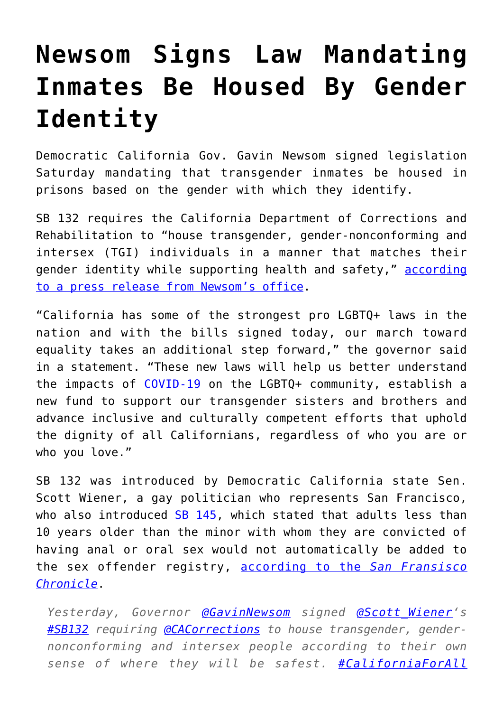## **[Newsom Signs Law Mandating](https://intellectualtakeout.org/2020/09/newsom-signs-law-mandating-inmates-be-housed-by-gender-identity/) [Inmates Be Housed By Gender](https://intellectualtakeout.org/2020/09/newsom-signs-law-mandating-inmates-be-housed-by-gender-identity/) [Identity](https://intellectualtakeout.org/2020/09/newsom-signs-law-mandating-inmates-be-housed-by-gender-identity/)**

Democratic California Gov. Gavin Newsom signed legislation Saturday mandating that transgender inmates be housed in prisons based on the gender with which they identify.

SB 132 requires the California Department of Corrections and Rehabilitation to "house transgender, gender-nonconforming and intersex (TGI) individuals in a manner that matches their gender identity while supporting health and safety," [according](https://www.gov.ca.gov/2020/09/26/governor-newsom-signs-legislation-strengthening-protections-for-lgbtq-californians/) [to a press release from Newsom's office](https://www.gov.ca.gov/2020/09/26/governor-newsom-signs-legislation-strengthening-protections-for-lgbtq-californians/).

"California has some of the strongest pro LGBTQ+ laws in the nation and with the bills signed today, our march toward equality takes an additional step forward," the governor said in a statement. "These new laws will help us better understand the impacts of [COVID-19](https://www.dailysignal.com/2020/09/04/californias-covid-19-restrictions-go-too-far/) on the LGBTQ+ community, establish a new fund to support our transgender sisters and brothers and advance inclusive and culturally competent efforts that uphold the dignity of all Californians, regardless of who you are or who you love."

SB 132 was introduced by Democratic California state Sen. Scott Wiener, a gay politician who represents San Francisco, who also introduced [SB 145](https://leginfo.legislature.ca.gov/faces/billTextClient.xhtml?bill_id=201920200SB145), which stated that adults less than 10 years older than the minor with whom they are convicted of having anal or oral sex would not automatically be added to the sex offender registry, [according to the](https://www.sfchronicle.com/politics/article/California-bill-eliminating-sex-offender-list-15529263.php) *[San Fransisco](https://www.sfchronicle.com/politics/article/California-bill-eliminating-sex-offender-list-15529263.php) [Chronicle](https://www.sfchronicle.com/politics/article/California-bill-eliminating-sex-offender-list-15529263.php)*.

*Yesterday, Governor [@GavinNewsom](https://twitter.com/GavinNewsom?ref_src=twsrc%5Etfw) signed [@Scott\\_Wiener'](https://twitter.com/Scott_Wiener?ref_src=twsrc%5Etfw)s [#SB132](https://twitter.com/hashtag/SB132?src=hash&ref_src=twsrc%5Etfw) requiring [@CACorrections](https://twitter.com/CACorrections?ref_src=twsrc%5Etfw) to house transgender, gendernonconforming and intersex people according to their own sense of where they will be safest. [#CaliforniaForAll](https://twitter.com/hashtag/CaliforniaForAll?src=hash&ref_src=twsrc%5Etfw)*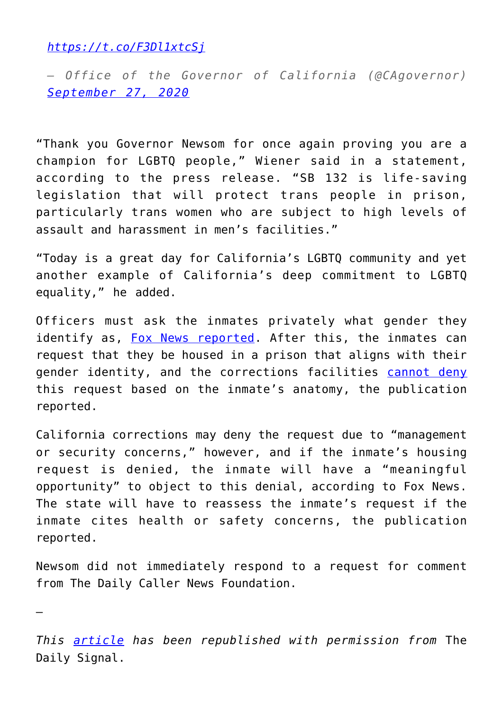*<https://t.co/F3Dl1xtcSj>*

*— Office of the Governor of California (@CAgovernor) [September 27, 2020](https://twitter.com/CAgovernor/status/1310281220333293570?ref_src=twsrc%5Etfw)*

"Thank you Governor Newsom for once again proving you are a champion for LGBTQ people," Wiener said in a statement, according to the press release. "SB 132 is life-saving legislation that will protect trans people in prison, particularly trans women who are subject to high levels of assault and harassment in men's facilities."

"Today is a great day for California's LGBTQ community and yet another example of California's deep commitment to LGBTQ equality," he added.

Officers must ask the inmates privately what gender they identify as, [Fox News reported.](https://www.foxnews.com/us/california-newsom-law-requiring-transgender-prison-inmates-gender-identity) After this, the inmates can request that they be housed in a prison that aligns with their gender identity, and the corrections facilities [cannot deny](https://www.dailysignal.com/2019/08/14/how-lgbtq-groups-are-quietly-dismantling-norms-changing-education/) this request based on the inmate's anatomy, the publication reported.

California corrections may deny the request due to "management or security concerns," however, and if the inmate's housing request is denied, the inmate will have a "meaningful opportunity" to object to this denial, according to Fox News. The state will have to reassess the inmate's request if the inmate cites health or safety concerns, the publication reported.

Newsom did not immediately respond to a request for comment from The Daily Caller News Foundation.

—

*This [article](https://www.dailysignal.com/2020/09/29/newsom-signs-law-mandating-transgender-inmates-be-housed-based-on-gender-identity/) has been republished with permission from* The Daily Signal.